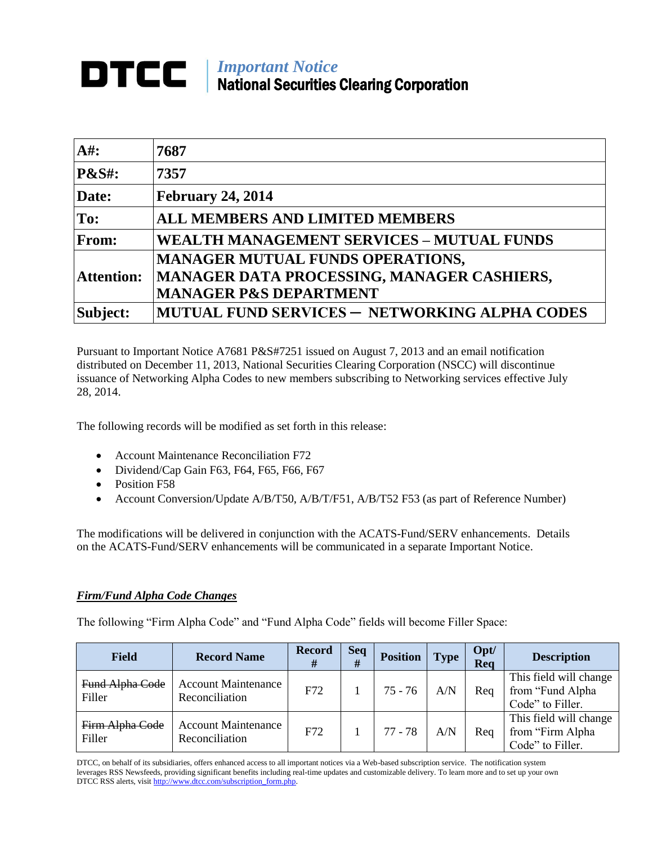# *Important Notice* National Securities Clearing Corporation

| $A#$ :            | 7687                                                                                                                       |
|-------------------|----------------------------------------------------------------------------------------------------------------------------|
| <b>P&amp;S#:</b>  | 7357                                                                                                                       |
| Date:             | <b>February 24, 2014</b>                                                                                                   |
| To:               | <b>ALL MEMBERS AND LIMITED MEMBERS</b>                                                                                     |
| From:             | <b>WEALTH MANAGEMENT SERVICES - MUTUAL FUNDS</b>                                                                           |
| <b>Attention:</b> | <b>MANAGER MUTUAL FUNDS OPERATIONS,</b><br>MANAGER DATA PROCESSING, MANAGER CASHIERS,<br><b>MANAGER P&amp;S DEPARTMENT</b> |
| Subject:          | MUTUAL FUND SERVICES - NETWORKING ALPHA CODES                                                                              |

Pursuant to Important Notice A7681 P&S#7251 issued on August 7, 2013 and an email notification distributed on December 11, 2013, National Securities Clearing Corporation (NSCC) will discontinue issuance of Networking Alpha Codes to new members subscribing to Networking services effective July 28, 2014.

The following records will be modified as set forth in this release:

- Account Maintenance Reconciliation F72
- Dividend/Cap Gain F63, F64, F65, F66, F67
- Position F58
- Account Conversion/Update A/B/T50, A/B/T/F51, A/B/T52 F53 (as part of Reference Number)

The modifications will be delivered in conjunction with the ACATS-Fund/SERV enhancements. Details on the ACATS-Fund/SERV enhancements will be communicated in a separate Important Notice.

### *Firm/Fund Alpha Code Changes*

The following "Firm Alpha Code" and "Fund Alpha Code" fields will become Filler Space:

| <b>Field</b>              | <b>Record Name</b>                           | <b>Record</b><br># | <b>Seq</b><br># | <b>Position</b> | <b>Type</b> | Opt/<br>Req | <b>Description</b>                                             |
|---------------------------|----------------------------------------------|--------------------|-----------------|-----------------|-------------|-------------|----------------------------------------------------------------|
| Fund Alpha Code<br>Filler | <b>Account Maintenance</b><br>Reconciliation | F72                |                 | $75 - 76$       | A/N         | Req         | This field will change<br>from "Fund Alpha<br>Code" to Filler. |
| Firm Alpha Code<br>Filler | <b>Account Maintenance</b><br>Reconciliation | F72                |                 | $77 - 78$       | A/N         | Req         | This field will change<br>from "Firm Alpha<br>Code" to Filler. |

DTCC, on behalf of its subsidiaries, offers enhanced access to all important notices via a Web-based subscription service. The notification system leverages RSS Newsfeeds, providing significant benefits including real-time updates and customizable delivery. To learn more and to set up your own DTCC RSS alerts, visit http://www.dtcc.com/subscription\_form.php.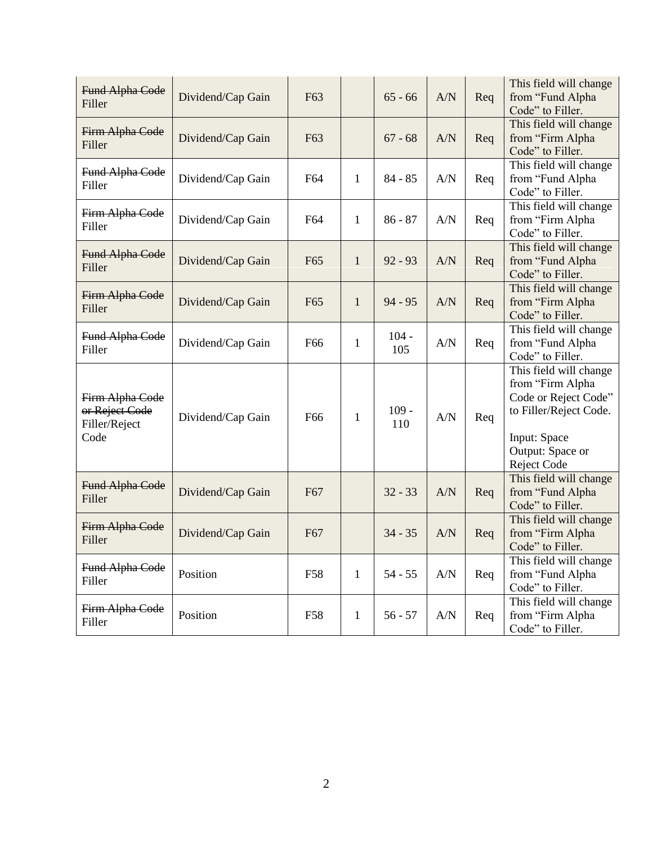| Fund Alpha Code<br>Filler                                  | Dividend/Cap Gain | F63             |              | $65 - 66$      | A/N | Req | This field will change<br>from "Fund Alpha<br>Code" to Filler.                                                                                  |
|------------------------------------------------------------|-------------------|-----------------|--------------|----------------|-----|-----|-------------------------------------------------------------------------------------------------------------------------------------------------|
| Firm Alpha Code<br>Filler                                  | Dividend/Cap Gain | F63             |              | $67 - 68$      | A/N | Req | This field will change<br>from "Firm Alpha<br>Code" to Filler.                                                                                  |
| Fund Alpha Code<br>Filler                                  | Dividend/Cap Gain | F64             | $\mathbf{1}$ | $84 - 85$      | A/N | Req | This field will change<br>from "Fund Alpha<br>Code" to Filler.                                                                                  |
| Firm Alpha Code<br>Filler                                  | Dividend/Cap Gain | F64             | 1            | $86 - 87$      | A/N | Req | This field will change<br>from "Firm Alpha<br>Code" to Filler.                                                                                  |
| Fund Alpha Code<br>Filler                                  | Dividend/Cap Gain | F <sub>65</sub> | $\mathbf{1}$ | $92 - 93$      | A/N | Req | This field will change<br>from "Fund Alpha<br>Code" to Filler.                                                                                  |
| Firm Alpha Code<br>Filler                                  | Dividend/Cap Gain | F <sub>65</sub> | $\mathbf{1}$ | $94 - 95$      | A/N | Req | This field will change<br>from "Firm Alpha<br>Code" to Filler.                                                                                  |
| Fund Alpha Code<br>Filler                                  | Dividend/Cap Gain | F <sub>66</sub> | $\mathbf{1}$ | $104 -$<br>105 | A/N | Req | This field will change<br>from "Fund Alpha<br>Code" to Filler.                                                                                  |
| Firm Alpha Code<br>or Reject Code<br>Filler/Reject<br>Code | Dividend/Cap Gain | F66             | $\mathbf{1}$ | $109 -$<br>110 | A/N | Req | This field will change<br>from "Firm Alpha<br>Code or Reject Code"<br>to Filler/Reject Code.<br>Input: Space<br>Output: Space or<br>Reject Code |
| Fund Alpha Code<br>Filler                                  | Dividend/Cap Gain | F <sub>67</sub> |              | $32 - 33$      | A/N | Req | This field will change<br>from "Fund Alpha<br>Code" to Filler.                                                                                  |
| Firm Alpha Code<br>Filler                                  | Dividend/Cap Gain | F67             |              | $34 - 35$      | A/N | Req | This field will change<br>from "Firm Alpha<br>Code" to Filler.                                                                                  |
| Fund Alpha Code<br>Filler                                  | Position          | F58             | $\mathbf{1}$ | $54 - 55$      | A/N | Req | This field will change<br>from "Fund Alpha<br>Code" to Filler.                                                                                  |
| Firm Alpha Code<br>Filler                                  | Position          | F58             | $\mathbf{1}$ | $56 - 57$      | A/N | Req | This field will change<br>from "Firm Alpha<br>Code" to Filler.                                                                                  |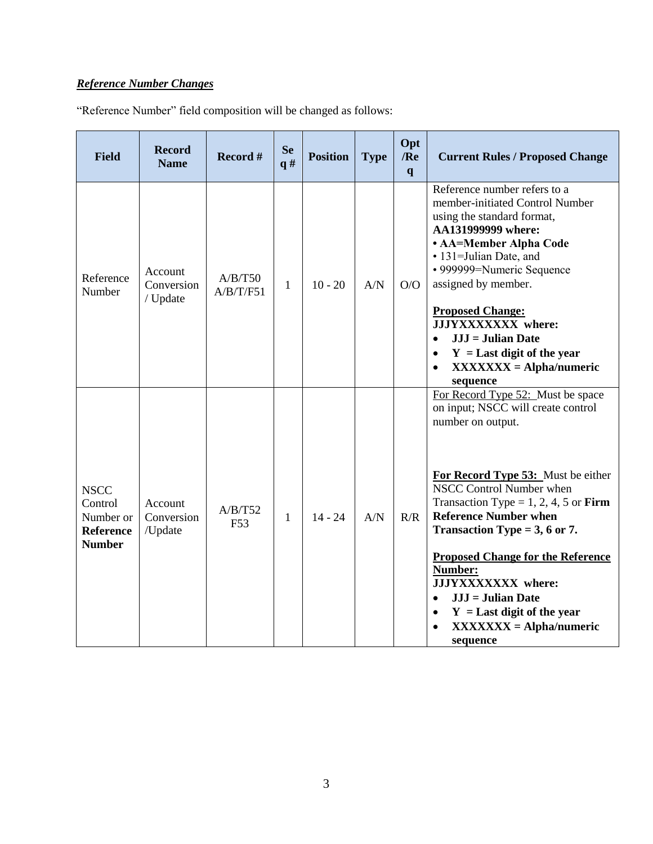## *Reference Number Changes*

"Reference Number" field composition will be changed as follows:

| <b>Field</b>                                                             | <b>Record</b><br><b>Name</b>      | Record #                   | <b>Se</b><br>q# | <b>Position</b> | <b>Type</b> | Opt<br>/Re<br>q | <b>Current Rules / Proposed Change</b>                                                                                                                                                                                                                                                                                                                                                                                                                                                        |
|--------------------------------------------------------------------------|-----------------------------------|----------------------------|-----------------|-----------------|-------------|-----------------|-----------------------------------------------------------------------------------------------------------------------------------------------------------------------------------------------------------------------------------------------------------------------------------------------------------------------------------------------------------------------------------------------------------------------------------------------------------------------------------------------|
| Reference<br>Number                                                      | Account<br>Conversion<br>/ Update | A/B/T50<br>A/B/T/F51       | 1               | $10 - 20$       | A/N         | O/O             | Reference number refers to a<br>member-initiated Control Number<br>using the standard format,<br>AA131999999 where:<br>• AA=Member Alpha Code<br>• 131=Julian Date, and<br>• 999999=Numeric Sequence<br>assigned by member.<br><b>Proposed Change:</b><br>JJJYXXXXXXX where:<br>$JJJ = Julian$ Date<br>$\bullet$<br>$Y =$ Last digit of the year<br>$\bullet$<br>$XXXXXX = Alpha/numeric$<br>$\bullet$<br>sequence                                                                            |
| <b>NSCC</b><br>Control<br>Number or<br><b>Reference</b><br><b>Number</b> | Account<br>Conversion<br>/Update  | A/B/T52<br>F <sub>53</sub> | 1               | $14 - 24$       | A/N         | R/R             | For Record Type 52: Must be space<br>on input; NSCC will create control<br>number on output.<br>For Record Type 53: Must be either<br>NSCC Control Number when<br>Transaction Type = 1, 2, 4, 5 or Firm<br><b>Reference Number when</b><br>Transaction Type = $3, 6$ or 7.<br><b>Proposed Change for the Reference</b><br>Number:<br>JJJYXXXXXXX where:<br>$JJJ = Julian$ Date<br>$\bullet$<br>$Y =$ Last digit of the year<br>$\bullet$<br>$XXXXXX = Alpha/numeric$<br>$\bullet$<br>sequence |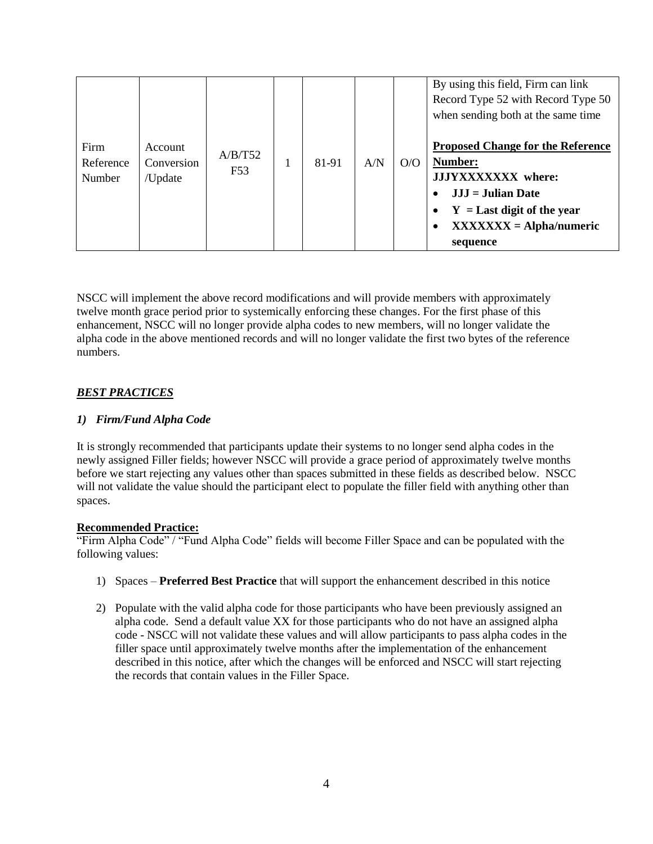| Firm<br>Reference<br>Number | Account<br>Conversion<br>/Update | A/B/T52<br>F <sub>53</sub> |  | 81-91 | A/N | O/O | By using this field, Firm can link<br>Record Type 52 with Record Type 50<br>when sending both at the same time<br><b>Proposed Change for the Reference</b><br>Number:<br>JJJYXXXXXXX where:<br>$JJJ =$ Julian Date<br>$\bullet$<br>$Y =$ Last digit of the year<br>٠<br>$XXXXXX = Alpha/numeric$<br>sequence |
|-----------------------------|----------------------------------|----------------------------|--|-------|-----|-----|--------------------------------------------------------------------------------------------------------------------------------------------------------------------------------------------------------------------------------------------------------------------------------------------------------------|
|-----------------------------|----------------------------------|----------------------------|--|-------|-----|-----|--------------------------------------------------------------------------------------------------------------------------------------------------------------------------------------------------------------------------------------------------------------------------------------------------------------|

NSCC will implement the above record modifications and will provide members with approximately twelve month grace period prior to systemically enforcing these changes. For the first phase of this enhancement, NSCC will no longer provide alpha codes to new members, will no longer validate the alpha code in the above mentioned records and will no longer validate the first two bytes of the reference numbers.

### *BEST PRACTICES*

#### *1) Firm/Fund Alpha Code*

It is strongly recommended that participants update their systems to no longer send alpha codes in the newly assigned Filler fields; however NSCC will provide a grace period of approximately twelve months before we start rejecting any values other than spaces submitted in these fields as described below. NSCC will not validate the value should the participant elect to populate the filler field with anything other than spaces.

#### **Recommended Practice:**

"Firm Alpha Code" / "Fund Alpha Code" fields will become Filler Space and can be populated with the following values:

- 1) Spaces **Preferred Best Practice** that will support the enhancement described in this notice
- 2) Populate with the valid alpha code for those participants who have been previously assigned an alpha code. Send a default value XX for those participants who do not have an assigned alpha code - NSCC will not validate these values and will allow participants to pass alpha codes in the filler space until approximately twelve months after the implementation of the enhancement described in this notice, after which the changes will be enforced and NSCC will start rejecting the records that contain values in the Filler Space.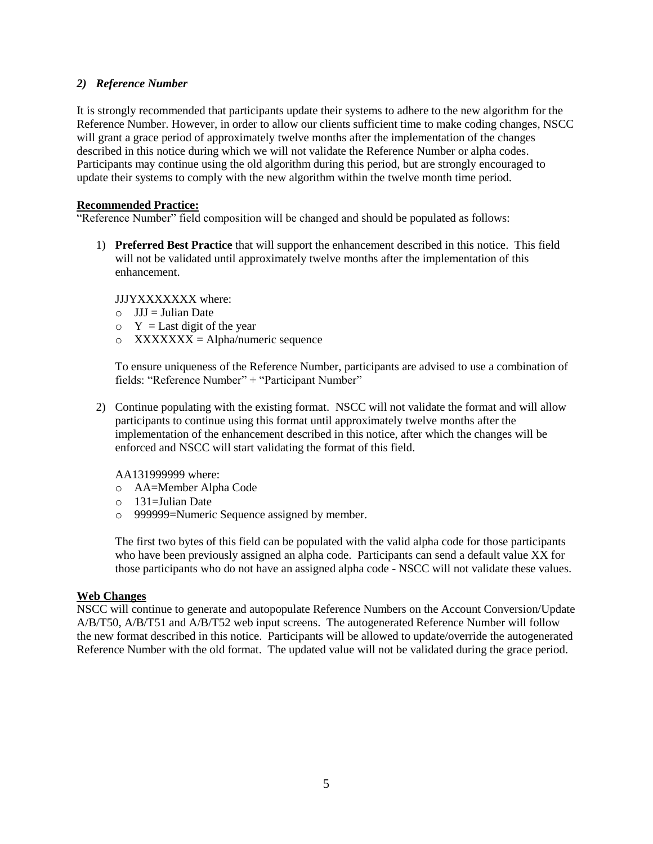#### *2) Reference Number*

It is strongly recommended that participants update their systems to adhere to the new algorithm for the Reference Number. However, in order to allow our clients sufficient time to make coding changes, NSCC will grant a grace period of approximately twelve months after the implementation of the changes described in this notice during which we will not validate the Reference Number or alpha codes. Participants may continue using the old algorithm during this period, but are strongly encouraged to update their systems to comply with the new algorithm within the twelve month time period.

#### **Recommended Practice:**

"Reference Number" field composition will be changed and should be populated as follows:

1) **Preferred Best Practice** that will support the enhancement described in this notice. This field will not be validated until approximately twelve months after the implementation of this enhancement.

JJJYXXXXXXX where:

- $O$  JJJ = Julian Date
- $\circ$  Y = Last digit of the year
- $\circ$  XXXXXXX = Alpha/numeric sequence

To ensure uniqueness of the Reference Number, participants are advised to use a combination of fields: "Reference Number" + "Participant Number"

2) Continue populating with the existing format. NSCC will not validate the format and will allow participants to continue using this format until approximately twelve months after the implementation of the enhancement described in this notice, after which the changes will be enforced and NSCC will start validating the format of this field.

AA131999999 where:

- o AA=Member Alpha Code
- o 131=Julian Date
- o 999999=Numeric Sequence assigned by member.

The first two bytes of this field can be populated with the valid alpha code for those participants who have been previously assigned an alpha code. Participants can send a default value XX for those participants who do not have an assigned alpha code - NSCC will not validate these values.

#### **Web Changes**

NSCC will continue to generate and autopopulate Reference Numbers on the Account Conversion/Update A/B/T50, A/B/T51 and A/B/T52 web input screens. The autogenerated Reference Number will follow the new format described in this notice. Participants will be allowed to update/override the autogenerated Reference Number with the old format. The updated value will not be validated during the grace period.